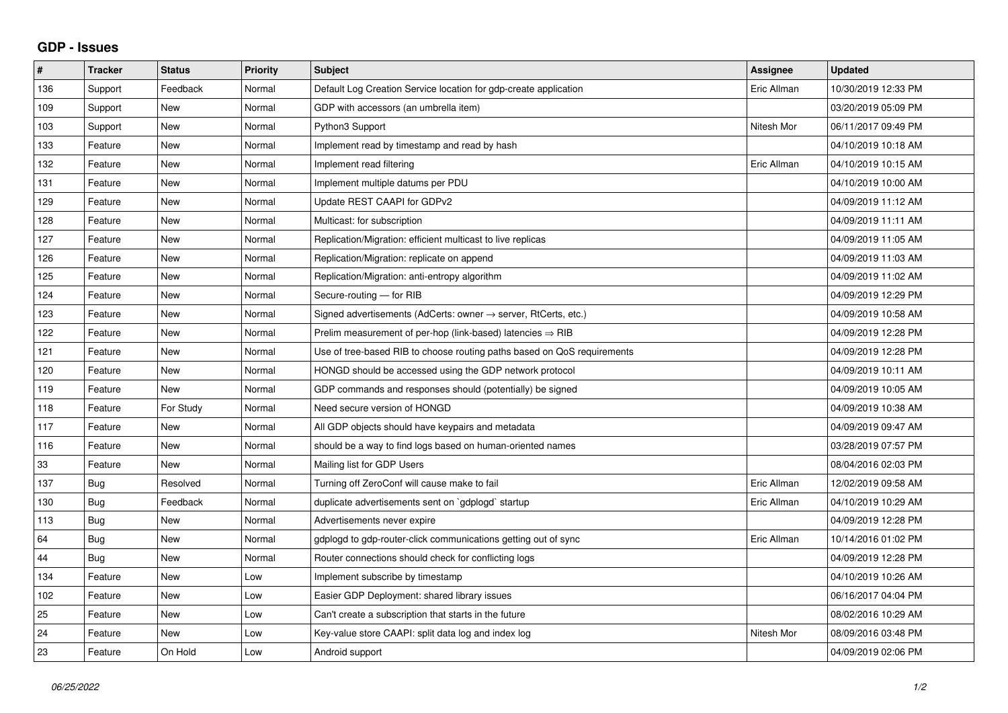## **GDP - Issues**

| #   | <b>Tracker</b> | <b>Status</b> | <b>Priority</b> | <b>Subject</b>                                                             | <b>Assignee</b> | <b>Updated</b>      |
|-----|----------------|---------------|-----------------|----------------------------------------------------------------------------|-----------------|---------------------|
| 136 | Support        | Feedback      | Normal          | Default Log Creation Service location for gdp-create application           | Eric Allman     | 10/30/2019 12:33 PM |
| 109 | Support        | <b>New</b>    | Normal          | GDP with accessors (an umbrella item)                                      |                 | 03/20/2019 05:09 PM |
| 103 | Support        | <b>New</b>    | Normal          | Python3 Support                                                            | Nitesh Mor      | 06/11/2017 09:49 PM |
| 133 | Feature        | <b>New</b>    | Normal          | Implement read by timestamp and read by hash                               |                 | 04/10/2019 10:18 AM |
| 132 | Feature        | <b>New</b>    | Normal          | Implement read filtering                                                   | Eric Allman     | 04/10/2019 10:15 AM |
| 131 | Feature        | <b>New</b>    | Normal          | Implement multiple datums per PDU                                          |                 | 04/10/2019 10:00 AM |
| 129 | Feature        | <b>New</b>    | Normal          | Update REST CAAPI for GDPv2                                                |                 | 04/09/2019 11:12 AM |
| 128 | Feature        | <b>New</b>    | Normal          | Multicast: for subscription                                                |                 | 04/09/2019 11:11 AM |
| 127 | Feature        | <b>New</b>    | Normal          | Replication/Migration: efficient multicast to live replicas                |                 | 04/09/2019 11:05 AM |
| 126 | Feature        | <b>New</b>    | Normal          | Replication/Migration: replicate on append                                 |                 | 04/09/2019 11:03 AM |
| 125 | Feature        | New           | Normal          | Replication/Migration: anti-entropy algorithm                              |                 | 04/09/2019 11:02 AM |
| 124 | Feature        | <b>New</b>    | Normal          | Secure-routing - for RIB                                                   |                 | 04/09/2019 12:29 PM |
| 123 | Feature        | New           | Normal          | Signed advertisements (AdCerts: owner $\rightarrow$ server, RtCerts, etc.) |                 | 04/09/2019 10:58 AM |
| 122 | Feature        | <b>New</b>    | Normal          | Prelim measurement of per-hop (link-based) latencies $\Rightarrow$ RIB     |                 | 04/09/2019 12:28 PM |
| 121 | Feature        | <b>New</b>    | Normal          | Use of tree-based RIB to choose routing paths based on QoS requirements    |                 | 04/09/2019 12:28 PM |
| 120 | Feature        | <b>New</b>    | Normal          | HONGD should be accessed using the GDP network protocol                    |                 | 04/09/2019 10:11 AM |
| 119 | Feature        | <b>New</b>    | Normal          | GDP commands and responses should (potentially) be signed                  |                 | 04/09/2019 10:05 AM |
| 118 | Feature        | For Study     | Normal          | Need secure version of HONGD                                               |                 | 04/09/2019 10:38 AM |
| 117 | Feature        | <b>New</b>    | Normal          | All GDP objects should have keypairs and metadata                          |                 | 04/09/2019 09:47 AM |
| 116 | Feature        | <b>New</b>    | Normal          | should be a way to find logs based on human-oriented names                 |                 | 03/28/2019 07:57 PM |
| 33  | Feature        | <b>New</b>    | Normal          | Mailing list for GDP Users                                                 |                 | 08/04/2016 02:03 PM |
| 137 | Bug            | Resolved      | Normal          | Turning off ZeroConf will cause make to fail                               | Eric Allman     | 12/02/2019 09:58 AM |
| 130 | <b>Bug</b>     | Feedback      | Normal          | duplicate advertisements sent on `gdplogd` startup                         | Eric Allman     | 04/10/2019 10:29 AM |
| 113 | Bug            | <b>New</b>    | Normal          | Advertisements never expire                                                |                 | 04/09/2019 12:28 PM |
| 64  | Bug            | <b>New</b>    | Normal          | gdplogd to gdp-router-click communications getting out of sync             | Eric Allman     | 10/14/2016 01:02 PM |
| 44  | Bug            | <b>New</b>    | Normal          | Router connections should check for conflicting logs                       |                 | 04/09/2019 12:28 PM |
| 134 | Feature        | <b>New</b>    | Low             | Implement subscribe by timestamp                                           |                 | 04/10/2019 10:26 AM |
| 102 | Feature        | New           | Low             | Easier GDP Deployment: shared library issues                               |                 | 06/16/2017 04:04 PM |
| 25  | Feature        | <b>New</b>    | Low             | Can't create a subscription that starts in the future                      |                 | 08/02/2016 10:29 AM |
| 24  | Feature        | New           | Low             | Key-value store CAAPI: split data log and index log                        | Nitesh Mor      | 08/09/2016 03:48 PM |
| 23  | Feature        | On Hold       | Low             | Android support                                                            |                 | 04/09/2019 02:06 PM |